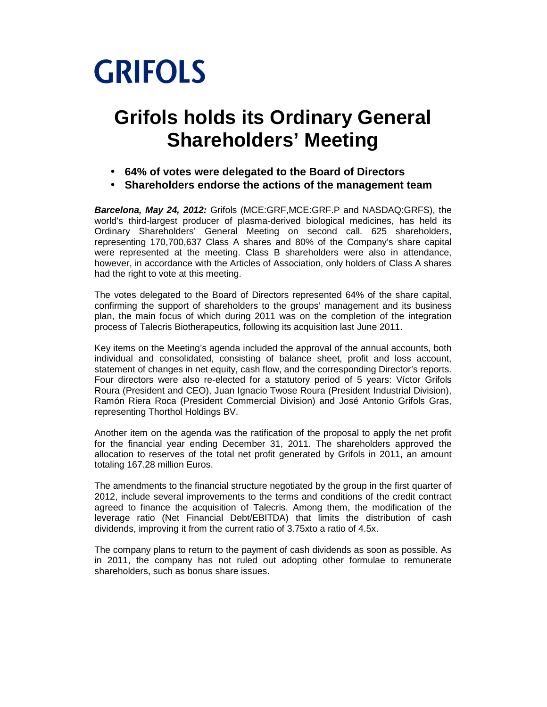

# **Grifols holds its Ordinary General Shareholders' Meeting**

- **64% of votes were delegated to the Board of Directors**
- **Shareholders endorse the actions of the management team**

**Barcelona, May 24, 2012:** Grifols (MCE:GRF,MCE:GRF.P and NASDAQ:GRFS), the world's third-largest producer of plasma-derived biological medicines, has held its Ordinary Shareholders' General Meeting on second call. 625 shareholders, representing 170,700,637 Class A shares and 80% of the Company's share capital were represented at the meeting. Class B shareholders were also in attendance, however, in accordance with the Articles of Association, only holders of Class A shares had the right to vote at this meeting.

The votes delegated to the Board of Directors represented 64% of the share capital, confirming the support of shareholders to the groups' management and its business plan, the main focus of which during 2011 was on the completion of the integration process of Talecris Biotherapeutics, following its acquisition last June 2011.

Key items on the Meeting's agenda included the approval of the annual accounts, both individual and consolidated, consisting of balance sheet, profit and loss account, statement of changes in net equity, cash flow, and the corresponding Director's reports. Four directors were also re-elected for a statutory period of 5 years: Víctor Grifols Roura (President and CEO), Juan Ignacio Twose Roura (President Industrial Division), Ramón Riera Roca (President Commercial Division) and José Antonio Grifols Gras, representing Thorthol Holdings BV.

Another item on the agenda was the ratification of the proposal to apply the net profit for the financial year ending December 31, 2011. The shareholders approved the allocation to reserves of the total net profit generated by Grifols in 2011, an amount totaling 167.28 million Euros.

The amendments to the financial structure negotiated by the group in the first quarter of 2012, include several improvements to the terms and conditions of the credit contract agreed to finance the acquisition of Talecris. Among them, the modification of the leverage ratio (Net Financial Debt/EBITDA) that limits the distribution of cash dividends, improving it from the current ratio of 3.75xto a ratio of 4.5x.

The company plans to return to the payment of cash dividends as soon as possible. As in 2011, the company has not ruled out adopting other formulae to remunerate shareholders, such as bonus share issues.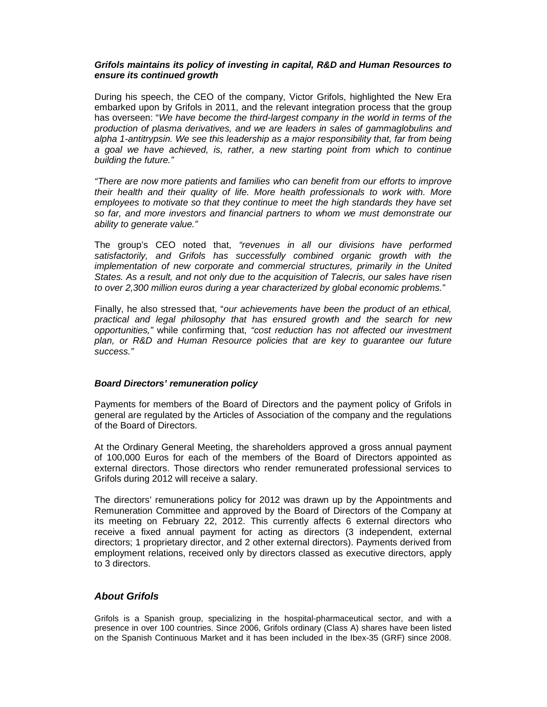#### **Grifols maintains its policy of investing in capital, R&D and Human Resources to ensure its continued growth**

During his speech, the CEO of the company, Victor Grifols, highlighted the New Era embarked upon by Grifols in 2011, and the relevant integration process that the group has overseen: "We have become the third-largest company in the world in terms of the production of plasma derivatives, and we are leaders in sales of gammaglobulins and alpha 1-antitrypsin. We see this leadership as a major responsibility that, far from being a goal we have achieved, is, rather, a new starting point from which to continue building the future."

"There are now more patients and families who can benefit from our efforts to improve their health and their quality of life. More health professionals to work with. More employees to motivate so that they continue to meet the high standards they have set so far, and more investors and financial partners to whom we must demonstrate our ability to generate value."

The group's CEO noted that, "revenues in all our divisions have performed satisfactorily, and Grifols has successfully combined organic growth with the implementation of new corporate and commercial structures, primarily in the United States. As a result, and not only due to the acquisition of Talecris, our sales have risen to over 2,300 million euros during a year characterized by global economic problems."

Finally, he also stressed that, "our achievements have been the product of an ethical, practical and legal philosophy that has ensured growth and the search for new opportunities," while confirming that, "cost reduction has not affected our investment plan, or R&D and Human Resource policies that are key to guarantee our future success."

### **Board Directors' remuneration policy**

Payments for members of the Board of Directors and the payment policy of Grifols in general are regulated by the Articles of Association of the company and the regulations of the Board of Directors.

At the Ordinary General Meeting, the shareholders approved a gross annual payment of 100,000 Euros for each of the members of the Board of Directors appointed as external directors. Those directors who render remunerated professional services to Grifols during 2012 will receive a salary.

The directors' remunerations policy for 2012 was drawn up by the Appointments and Remuneration Committee and approved by the Board of Directors of the Company at its meeting on February 22, 2012. This currently affects 6 external directors who receive a fixed annual payment for acting as directors (3 independent, external directors; 1 proprietary director, and 2 other external directors). Payments derived from employment relations, received only by directors classed as executive directors, apply to 3 directors.

## **About Grifols**

Grifols is a Spanish group, specializing in the hospital-pharmaceutical sector, and with a presence in over 100 countries. Since 2006, Grifols ordinary (Class A) shares have been listed on the Spanish Continuous Market and it has been included in the Ibex-35 (GRF) since 2008.